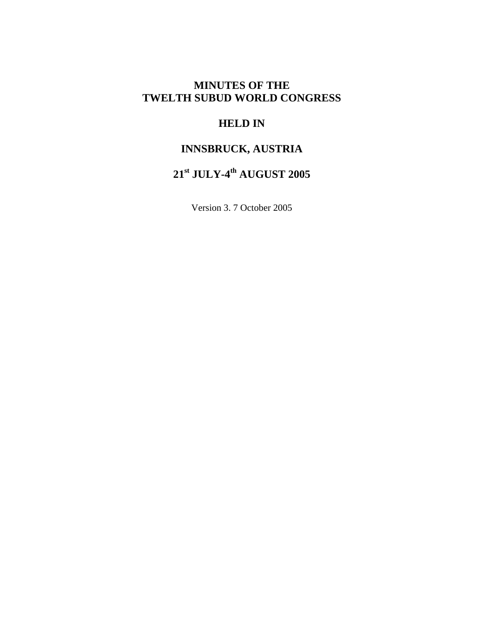# **MINUTES OF THE TWELTH SUBUD WORLD CONGRESS**

# **HELD IN**

# **INNSBRUCK, AUSTRIA**

# **21st JULY-4th AUGUST 2005**

Version 3. 7 October 2005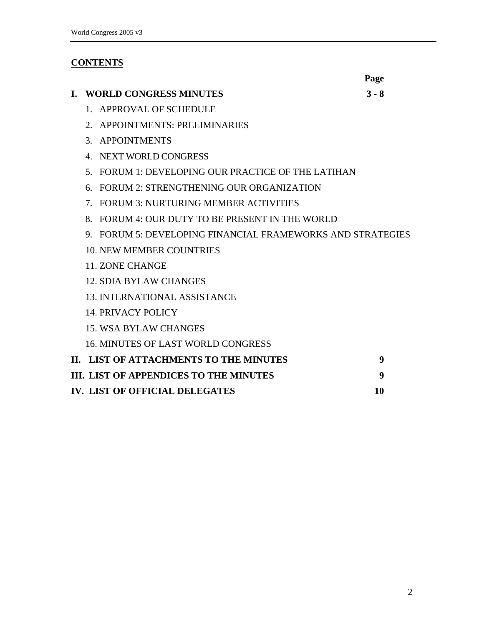# **CONTENTS**

|    |                                                                                | Page    |
|----|--------------------------------------------------------------------------------|---------|
| L. | <b>WORLD CONGRESS MINUTES</b>                                                  | $3 - 8$ |
|    | 1. APPROVAL OF SCHEDULE                                                        |         |
|    | <b>APPOINTMENTS: PRELIMINARIES</b><br>$\mathcal{D}$                            |         |
|    | 3. APPOINTMENTS                                                                |         |
|    | NEXT WORLD CONGRESS<br>$\mathbf{A}_{\cdot}$                                    |         |
|    | FORUM 1: DEVELOPING OUR PRACTICE OF THE LATIHAN<br>5.                          |         |
|    | FORUM 2: STRENGTHENING OUR ORGANIZATION<br>6.                                  |         |
|    | <b>FORUM 3: NURTURING MEMBER ACTIVITIES</b><br>$7_{\scriptscriptstyle{\circ}}$ |         |
|    | FORUM 4: OUR DUTY TO BE PRESENT IN THE WORLD<br>8 <sub>1</sub>                 |         |
|    | 9. FORUM 5: DEVELOPING FINANCIAL FRAMEWORKS AND STRATEGIES                     |         |
|    | 10. NEW MEMBER COUNTRIES                                                       |         |
|    | <b>11. ZONE CHANGE</b>                                                         |         |
|    | 12. SDIA BYLAW CHANGES                                                         |         |
|    | <b>13. INTERNATIONAL ASSISTANCE</b>                                            |         |
|    | <b>14. PRIVACY POLICY</b>                                                      |         |
|    | <b>15. WSA BYLAW CHANGES</b>                                                   |         |
|    | <b>16. MINUTES OF LAST WORLD CONGRESS</b>                                      |         |
|    | II. LIST OF ATTACHMENTS TO THE MINUTES                                         | 9       |
|    | <b>III. LIST OF APPENDICES TO THE MINUTES</b>                                  | 9       |
|    | <b>IV. LIST OF OFFICIAL DELEGATES</b>                                          | 10      |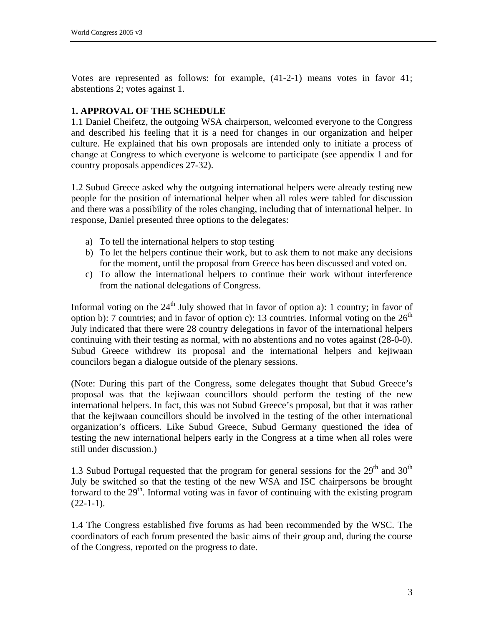Votes are represented as follows: for example, (41-2-1) means votes in favor 41; abstentions 2; votes against 1.

#### **1. APPROVAL OF THE SCHEDULE**

1.1 Daniel Cheifetz, the outgoing WSA chairperson, welcomed everyone to the Congress and described his feeling that it is a need for changes in our organization and helper culture. He explained that his own proposals are intended only to initiate a process of change at Congress to which everyone is welcome to participate (see appendix 1 and for country proposals appendices 27-32).

1.2 Subud Greece asked why the outgoing international helpers were already testing new people for the position of international helper when all roles were tabled for discussion and there was a possibility of the roles changing, including that of international helper. In response, Daniel presented three options to the delegates:

- a) To tell the international helpers to stop testing
- b) To let the helpers continue their work, but to ask them to not make any decisions for the moment, until the proposal from Greece has been discussed and voted on.
- c) To allow the international helpers to continue their work without interference from the national delegations of Congress.

Informal voting on the  $24<sup>th</sup>$  July showed that in favor of option a): 1 country; in favor of option b): 7 countries; and in favor of option c): 13 countries. Informal voting on the  $26<sup>th</sup>$ July indicated that there were 28 country delegations in favor of the international helpers continuing with their testing as normal, with no abstentions and no votes against (28-0-0). Subud Greece withdrew its proposal and the international helpers and kejiwaan councilors began a dialogue outside of the plenary sessions.

(Note: During this part of the Congress, some delegates thought that Subud Greece's proposal was that the kejiwaan councillors should perform the testing of the new international helpers. In fact, this was not Subud Greece's proposal, but that it was rather that the kejiwaan councillors should be involved in the testing of the other international organization's officers. Like Subud Greece, Subud Germany questioned the idea of testing the new international helpers early in the Congress at a time when all roles were still under discussion.)

1.3 Subud Portugal requested that the program for general sessions for the  $29<sup>th</sup>$  and  $30<sup>th</sup>$ July be switched so that the testing of the new WSA and ISC chairpersons be brought forward to the  $29<sup>th</sup>$ . Informal voting was in favor of continuing with the existing program  $(22-1-1)$ .

1.4 The Congress established five forums as had been recommended by the WSC. The coordinators of each forum presented the basic aims of their group and, during the course of the Congress, reported on the progress to date.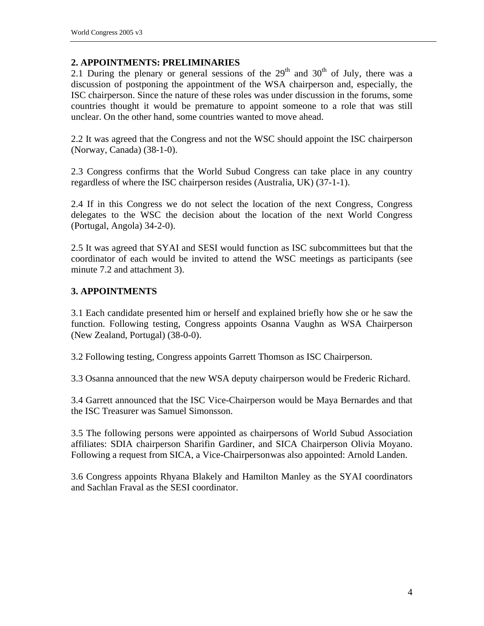#### **2. APPOINTMENTS: PRELIMINARIES**

2.1 During the plenary or general sessions of the  $29<sup>th</sup>$  and  $30<sup>th</sup>$  of July, there was a discussion of postponing the appointment of the WSA chairperson and, especially, the ISC chairperson. Since the nature of these roles was under discussion in the forums, some countries thought it would be premature to appoint someone to a role that was still unclear. On the other hand, some countries wanted to move ahead.

2.2 It was agreed that the Congress and not the WSC should appoint the ISC chairperson (Norway, Canada) (38-1-0).

2.3 Congress confirms that the World Subud Congress can take place in any country regardless of where the ISC chairperson resides (Australia, UK) (37-1-1).

2.4 If in this Congress we do not select the location of the next Congress, Congress delegates to the WSC the decision about the location of the next World Congress (Portugal, Angola) 34-2-0).

2.5 It was agreed that SYAI and SESI would function as ISC subcommittees but that the coordinator of each would be invited to attend the WSC meetings as participants (see minute 7.2 and attachment 3).

# **3. APPOINTMENTS**

3.1 Each candidate presented him or herself and explained briefly how she or he saw the function. Following testing, Congress appoints Osanna Vaughn as WSA Chairperson (New Zealand, Portugal) (38-0-0).

3.2 Following testing, Congress appoints Garrett Thomson as ISC Chairperson.

3.3 Osanna announced that the new WSA deputy chairperson would be Frederic Richard.

3.4 Garrett announced that the ISC Vice-Chairperson would be Maya Bernardes and that the ISC Treasurer was Samuel Simonsson.

3.5 The following persons were appointed as chairpersons of World Subud Association affiliates: SDIA chairperson Sharifin Gardiner, and SICA Chairperson Olivia Moyano. Following a request from SICA, a Vice-Chairperson was also appointed: Arnold Landen.

3.6 Congress appoints Rhyana Blakely and Hamilton Manley as the SYAI coordinators and Sachlan Fraval as the SESI coordinator.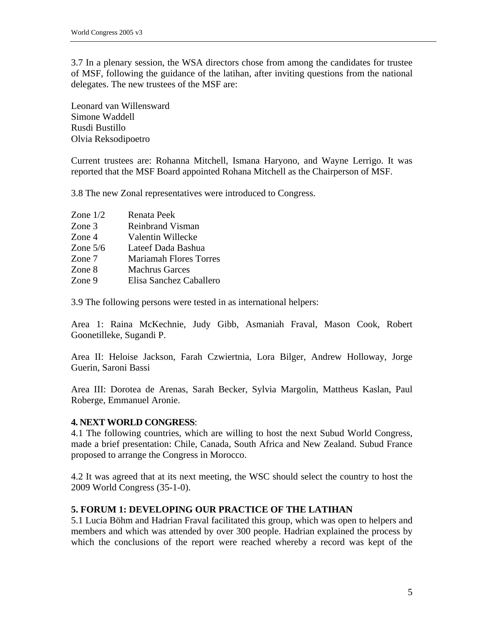3.7 In a plenary session, the WSA directors chose from among the candidates for trustee of MSF, following the guidance of the latihan, after inviting questions from the national delegates. The new trustees of the MSF are:

Leonard van Willensward Simone Waddell Rusdi Bustillo Olvia Reksodipoetro

Current trustees are: Rohanna Mitchell, Ismana Haryono, and Wayne Lerrigo. It was reported that the MSF Board appointed Rohana Mitchell as the Chairperson of MSF.

3.8 The new Zonal representatives were introduced to Congress.

| Zone $1/2$ | Renata Peek                   |
|------------|-------------------------------|
| Zone 3     | Reinbrand Visman              |
| Zone 4     | Valentin Willecke             |
| Zone $5/6$ | Lateef Dada Bashua            |
| Zone 7     | <b>Mariamah Flores Torres</b> |
| Zone 8     | Machrus Garces                |
| Zone 9     | Elisa Sanchez Caballero       |

3.9 The following persons were tested in as international helpers:

Area 1: Raina McKechnie, Judy Gibb, Asmaniah Fraval, Mason Cook, Robert Goonetilleke, Sugandi P.

Area II: Heloise Jackson, Farah Czwiertnia, Lora Bilger, Andrew Holloway, Jorge Guerin, Saroni Bassi

Area III: Dorotea de Arenas, Sarah Becker, Sylvia Margolin, Mattheus Kaslan, Paul Roberge, Emmanuel Aronie.

#### **4. NEXT WORLD CONGRESS**:

4.1 The following countries, which are willing to host the next Subud World Congress, made a brief presentation: Chile, Canada, South Africa and New Zealand. Subud France proposed to arrange the Congress in Morocco.

4.2 It was agreed that at its next meeting, the WSC should select the country to host the 2009 World Congress (35-1-0).

#### **5. FORUM 1: DEVELOPING OUR PRACTICE OF THE LATIHAN**

5.1 Lucia Böhm and Hadrian Fraval facilitated this group, which was open to helpers and members and which was attended by over 300 people. Hadrian explained the process by which the conclusions of the report were reached whereby a record was kept of the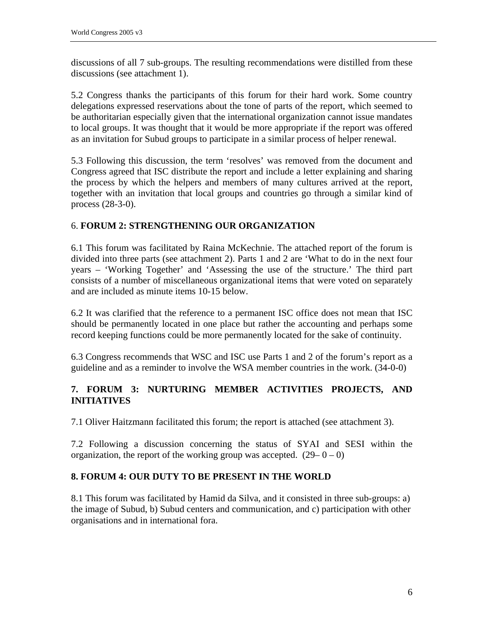discussions of all 7 sub-groups. The resulting recommendations were distilled from these discussions (see attachment 1).

5.2 Congress thanks the participants of this forum for their hard work. Some country delegations expressed reservations about the tone of parts of the report, which seemed to be authoritarian especially given that the international organization cannot issue mandates to local groups. It was thought that it would be more appropriate if the report was offered as an invitation for Subud groups to participate in a similar process of helper renewal.

5.3 Following this discussion, the term 'resolves' was removed from the document and Congress agreed that ISC distribute the report and include a letter explaining and sharing the process by which the helpers and members of many cultures arrived at the report, together with an invitation that local groups and countries go through a similar kind of process (28-3-0).

# 6. **FORUM 2: STRENGTHENING OUR ORGANIZATION**

6.1 This forum was facilitated by Raina McKechnie. The attached report of the forum is divided into three parts (see attachment 2). Parts 1 and 2 are 'What to do in the next four years – 'Working Together' and 'Assessing the use of the structure.' The third part consists of a number of miscellaneous organizational items that were voted on separately and are included as minute items 10-15 below.

6.2 It was clarified that the reference to a permanent ISC office does not mean that ISC should be permanently located in one place but rather the accounting and perhaps some record keeping functions could be more permanently located for the sake of continuity.

6.3 Congress recommends that WSC and ISC use Parts 1 and 2 of the forum's report as a guideline and as a reminder to involve the WSA member countries in the work. (34-0-0)

# **7. FORUM 3: NURTURING MEMBER ACTIVITIES PROJECTS, AND INITIATIVES**

7.1 Oliver Haitzmann facilitated this forum; the report is attached (see attachment 3).

7.2 Following a discussion concerning the status of SYAI and SESI within the organization, the report of the working group was accepted.  $(29-0-0)$ 

# **8. FORUM 4: OUR DUTY TO BE PRESENT IN THE WORLD**

8.1 This forum was facilitated by Hamid da Silva, and it consisted in three sub-groups: a) the image of Subud, b) Subud centers and communication, and c) participation with other organisations and in international fora.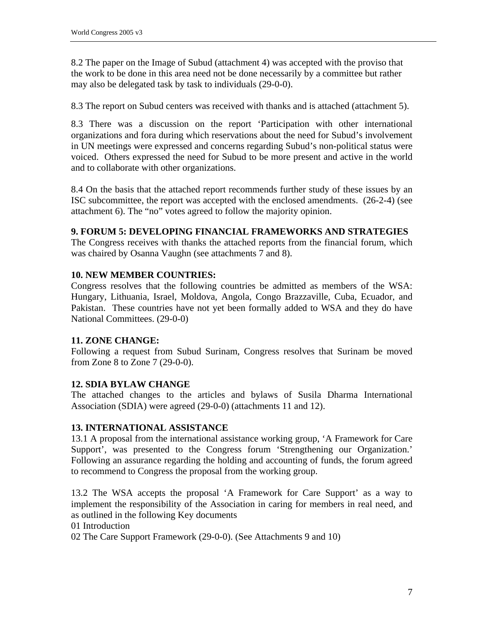8.2 The paper on the Image of Subud (attachment 4) was accepted with the proviso that the work to be done in this area need not be done necessarily by a committee but rather may also be delegated task by task to individuals (29-0-0).

8.3 The report on Subud centers was received with thanks and is attached (attachment 5).

8.3 There was a discussion on the report 'Participation with other international organizations and fora during which reservations about the need for Subud's involvement in UN meetings were expressed and concerns regarding Subud's non-political status were voiced. Others expressed the need for Subud to be more present and active in the world and to collaborate with other organizations.

8.4 On the basis that the attached report recommends further study of these issues by an ISC subcommittee, the report was accepted with the enclosed amendments. (26-2-4) (see attachment 6). The "no" votes agreed to follow the majority opinion.

# **9. FORUM 5: DEVELOPING FINANCIAL FRAMEWORKS AND STRATEGIES**

The Congress receives with thanks the attached reports from the financial forum, which was chaired by Osanna Vaughn (see attachments 7 and 8).

# **10. NEW MEMBER COUNTRIES:**

Congress resolves that the following countries be admitted as members of the WSA: Hungary, Lithuania, Israel, Moldova, Angola, Congo Brazzaville, Cuba, Ecuador, and Pakistan. These countries have not yet been formally added to WSA and they do have National Committees. (29-0-0)

# **11. ZONE CHANGE:**

Following a request from Subud Surinam, Congress resolves that Surinam be moved from Zone 8 to Zone 7 (29-0-0).

# **12. SDIA BYLAW CHANGE**

The attached changes to the articles and bylaws of Susila Dharma International Association (SDIA) were agreed (29-0-0) (attachments 11 and 12).

# **13. INTERNATIONAL ASSISTANCE**

13.1 A proposal from the international assistance working group, 'A Framework for Care Support', was presented to the Congress forum 'Strengthening our Organization.' Following an assurance regarding the holding and accounting of funds, the forum agreed to recommend to Congress the proposal from the working group.

13.2 The WSA accepts the proposal 'A Framework for Care Support' as a way to implement the responsibility of the Association in caring for members in real need, and as outlined in the following Key documents

01 Introduction

02 The Care Support Framework (29-0-0). (See Attachments 9 and 10)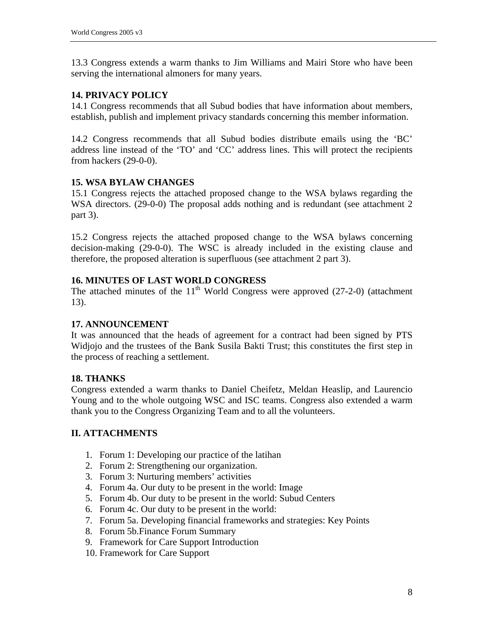13.3 Congress extends a warm thanks to Jim Williams and Mairi Store who have been serving the international almoners for many years.

#### **14. PRIVACY POLICY**

14.1 Congress recommends that all Subud bodies that have information about members, establish, publish and implement privacy standards concerning this member information.

14.2 Congress recommends that all Subud bodies distribute emails using the 'BC' address line instead of the 'TO' and 'CC' address lines. This will protect the recipients from hackers (29-0-0).

#### **15. WSA BYLAW CHANGES**

15.1 Congress rejects the attached proposed change to the WSA bylaws regarding the WSA directors. (29-0-0) The proposal adds nothing and is redundant (see attachment 2 part 3).

15.2 Congress rejects the attached proposed change to the WSA bylaws concerning decision-making (29-0-0). The WSC is already included in the existing clause and therefore, the proposed alteration is superfluous (see attachment 2 part 3).

#### **16. MINUTES OF LAST WORLD CONGRESS**

The attached minutes of the  $11<sup>th</sup>$  World Congress were approved (27-2-0) (attachment 13).

#### **17. ANNOUNCEMENT**

It was announced that the heads of agreement for a contract had been signed by PTS Widjojo and the trustees of the Bank Susila Bakti Trust; this constitutes the first step in the process of reaching a settlement.

#### **18. THANKS**

Congress extended a warm thanks to Daniel Cheifetz, Meldan Heaslip, and Laurencio Young and to the whole outgoing WSC and ISC teams. Congress also extended a warm thank you to the Congress Organizing Team and to all the volunteers.

#### **II. ATTACHMENTS**

- 1. Forum 1: Developing our practice of the latihan
- 2. Forum 2: Strengthening our organization.
- 3. Forum 3: Nurturing members' activities
- 4. Forum 4a. Our duty to be present in the world: Image
- 5. Forum 4b. Our duty to be present in the world: Subud Centers
- 6. Forum 4c. Our duty to be present in the world:
- 7. Forum 5a. Developing financial frameworks and strategies: Key Points
- 8. Forum 5b.Finance Forum Summary
- 9. Framework for Care Support Introduction
- 10. Framework for Care Support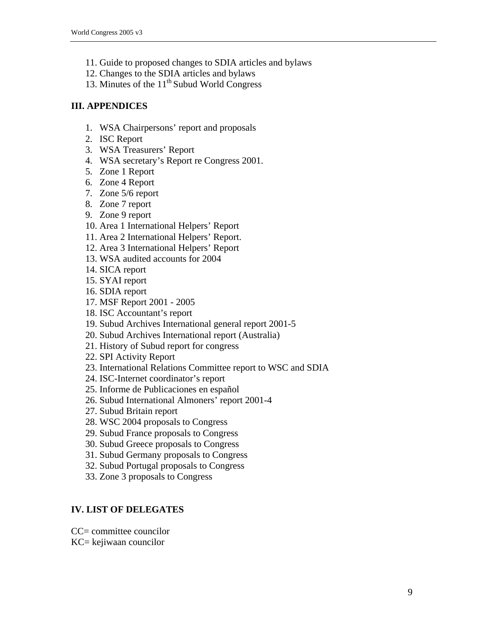- 11. Guide to proposed changes to SDIA articles and bylaws
- 12. Changes to the SDIA articles and bylaws
- 13. Minutes of the  $11<sup>th</sup>$  Subud World Congress

# **III. APPENDICES**

- 1. WSA Chairpersons' report and proposals
- 2. ISC Report
- 3. WSA Treasurers' Report
- 4. WSA secretary's Report re Congress 2001.
- 5. Zone 1 Report
- 6. Zone 4 Report
- 7. Zone 5/6 report
- 8. Zone 7 report
- 9. Zone 9 report
- 10. Area 1 International Helpers' Report
- 11. Area 2 International Helpers' Report.
- 12. Area 3 International Helpers' Report
- 13. WSA audited accounts for 2004
- 14. SICA report
- 15. SYAI report
- 16. SDIA report
- 17. MSF Report 2001 2005
- 18. ISC Accountant's report
- 19. Subud Archives International general report 2001-5
- 20. Subud Archives International report (Australia)
- 21. History of Subud report for congress
- 22. SPI Activity Report
- 23. International Relations Committee report to WSC and SDIA
- 24. ISC-Internet coordinator's report
- 25. Informe de Publicaciones en español
- 26. Subud International Almoners' report 2001-4
- 27. Subud Britain report
- 28. WSC 2004 proposals to Congress
- 29. Subud France proposals to Congress
- 30. Subud Greece proposals to Congress
- 31. Subud Germany proposals to Congress
- 32. Subud Portugal proposals to Congress
- 33. Zone 3 proposals to Congress

# **IV. LIST OF DELEGATES**

- CC= committee councilor
- KC= kejiwaan councilor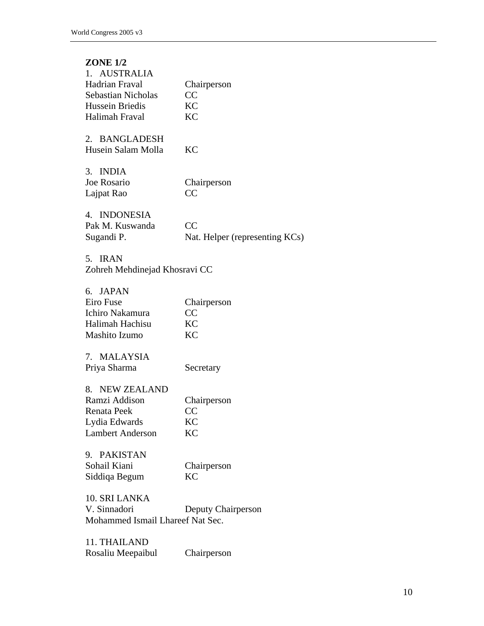| <b>ZONE 1/2</b>    |                                |
|--------------------|--------------------------------|
| 1. AUSTRALIA       |                                |
| Hadrian Fraval     | Chairperson                    |
| Sebastian Nicholas | CC                             |
| Hussein Briedis    | KС                             |
| Halimah Fraval     | KС                             |
| 2. BANGLADESH      |                                |
| Husein Salam Molla | KС                             |
| 3. INDIA           |                                |
| Joe Rosario        | Chairperson                    |
| Lajpat Rao         | CC                             |
| 4. INDONESIA       |                                |
| Pak M. Kuswanda    | CC                             |
| Sugandi P.         | Nat. Helper (representing KCs) |
| 5.<br><b>IRAN</b>  |                                |

Zohreh Mehdinejad Khosravi CC

| 6. JAPAN        |             |
|-----------------|-------------|
| Eiro Fuse       | Chairperson |
| Ichiro Nakamura | CC.         |
| Halimah Hachisu | KC          |
| Mashito Izumo   | KC.         |
|                 |             |

7. MALAYSIA Priya Sharma Secretary

| 8. NEW ZEALAND          |             |
|-------------------------|-------------|
| Ramzi Addison           | Chairperson |
| Renata Peek             | CC.         |
| Lydia Edwards           | KC          |
| <b>Lambert Anderson</b> | KC.         |

| 9. PAKISTAN   |             |
|---------------|-------------|
| Sohail Kiani  | Chairperson |
| Siddiqa Begum | KC.         |

10. SRI LANKA Deputy Chairperson Mohammed Ismail Lhareef Nat Sec.

11. THAILAND Rosaliu Meepaibul Chairperson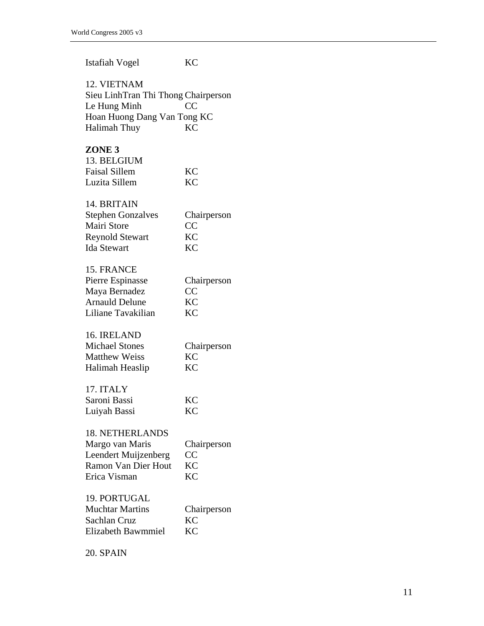| <b>Istafiah Vogel</b>                                                                                             | <b>KC</b>                                   |
|-------------------------------------------------------------------------------------------------------------------|---------------------------------------------|
| 12. VIETNAM<br>Sieu LinhTran Thi Thong Chairperson<br>Le Hung Minh<br>Hoan Huong Dang Van Tong KC<br>Halimah Thuy | CC<br><b>KC</b>                             |
| ZONE <sub>3</sub><br>13. BELGIUM<br><b>Faisal Sillem</b><br>Luzita Sillem                                         | KC<br>KC                                    |
| 14. BRITAIN<br><b>Stephen Gonzalves</b><br><b>Mairi Store</b><br><b>Reynold Stewart</b><br><b>Ida Stewart</b>     | Chairperson<br>CC<br>KC<br><b>KC</b>        |
| 15. FRANCE<br>Pierre Espinasse<br>Maya Bernadez<br><b>Arnauld Delune</b><br>Liliane Tavakilian                    | Chairperson<br>CC<br><b>KC</b><br><b>KC</b> |
| 16. IRELAND<br><b>Michael Stones</b><br><b>Matthew Weiss</b><br>Halimah Heaslip                                   | Chairperson<br><b>KC</b><br><b>KC</b>       |
| 17. ITALY<br>Saroni Bassi<br>Luiyah Bassi                                                                         | <b>KC</b><br>KC                             |
| <b>18. NETHERLANDS</b><br>Margo van Maris<br>Leendert Muijzenberg<br><b>Ramon Van Dier Hout</b><br>Erica Visman   | Chairperson<br>CC<br>KC<br><b>KC</b>        |
| 19. PORTUGAL<br><b>Muchtar Martins</b><br>Sachlan Cruz<br>Elizabeth Bawmmiel                                      | Chairperson<br>KC<br><b>KC</b>              |

20. SPAIN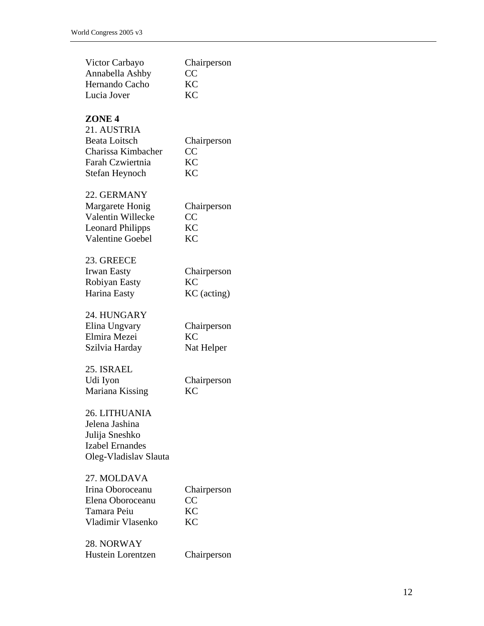| Victor Carbayo<br>Annabella Ashby<br>Hernando Cacho<br>Lucia Jover                                                   | Chairperson<br>CC<br><b>KC</b><br><b>KC</b>                     |
|----------------------------------------------------------------------------------------------------------------------|-----------------------------------------------------------------|
| ZONE <sub>4</sub><br>21. AUSTRIA<br><b>Beata Loitsch</b><br>Charissa Kimbacher<br>Farah Czwiertnia<br>Stefan Heynoch | Chairperson<br>$\overline{\text{CC}}$<br><b>KC</b><br><b>KC</b> |
| 22. GERMANY<br>Margarete Honig<br>Valentin Willecke<br><b>Leonard Philipps</b><br><b>Valentine Goebel</b>            | Chairperson<br>CC<br><b>KC</b><br><b>KC</b>                     |
| 23. GREECE<br><b>Irwan Easty</b><br>Robiyan Easty<br>Harina Easty                                                    | Chairperson<br><b>KC</b><br>KC (acting)                         |
| 24. HUNGARY<br>Elina Ungvary<br>Elmira Mezei<br>Szilvia Harday                                                       | Chairperson<br><b>KC</b><br>Nat Helper                          |
| 25. ISRAEL<br>Udi Iyon<br>Mariana Kissing                                                                            | Chairperson<br><b>KC</b>                                        |
| 26. LITHUANIA<br>Jelena Jashina<br>Julija Sneshko<br><b>Izabel Ernandes</b><br>Oleg-Vladislav Slauta                 |                                                                 |
| 27. MOLDAVA<br>Irina Oboroceanu<br>Elena Oboroceanu<br>Tamara Peiu<br>Vladimir Vlasenko                              | Chairperson<br>CC<br><b>KC</b><br><b>KC</b>                     |
| 28. NORWAY<br>Hustein Lorentzen                                                                                      | Chairperson                                                     |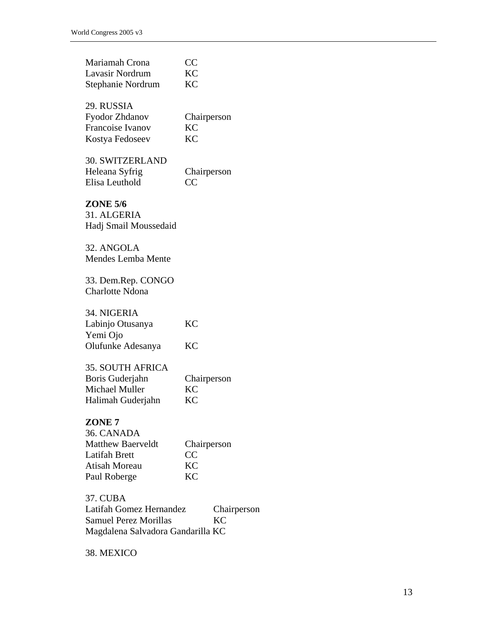| Mariamah Crona<br>Lavasir Nordrum<br>Stephanie Nordrum                                                                                      | CC<br>KC<br>KC                       |  |
|---------------------------------------------------------------------------------------------------------------------------------------------|--------------------------------------|--|
| 29. RUSSIA<br><b>Fyodor Zhdanov</b><br>Francoise Ivanov<br>Kostya Fedoseev                                                                  | Chairperson<br>KC<br>KC              |  |
| <b>30. SWITZERLAND</b><br>Heleana Syfrig<br>Elisa Leuthold                                                                                  | Chairperson<br>CC                    |  |
| <b>ZONE 5/6</b><br>31. ALGERIA<br>Hadj Smail Moussedaid                                                                                     |                                      |  |
| 32. ANGOLA<br><b>Mendes Lemba Mente</b>                                                                                                     |                                      |  |
| 33. Dem.Rep. CONGO<br><b>Charlotte Ndona</b>                                                                                                |                                      |  |
| 34. NIGERIA<br>Labinjo Otusanya<br>Yemi Ojo<br>Olufunke Adesanya                                                                            | KC<br>KC                             |  |
| <b>35. SOUTH AFRICA</b><br>Boris Guderjahn<br>Michael Muller<br>Halimah Guderjahn                                                           | Chairperson<br><b>KC</b><br>KC       |  |
| ZONE <sub>7</sub><br>36. CANADA<br><b>Matthew Baerveldt</b><br><b>Latifah Brett</b><br><b>Atisah Moreau</b><br>Paul Roberge                 | Chairperson<br>CC<br>KC<br><b>KC</b> |  |
| <b>37. CUBA</b><br>Latifah Gomez Hernandez<br>Chairperson<br><b>Samuel Perez Morillas</b><br><b>KC</b><br>Magdalena Salvadora Gandarilla KC |                                      |  |

38. MEXICO